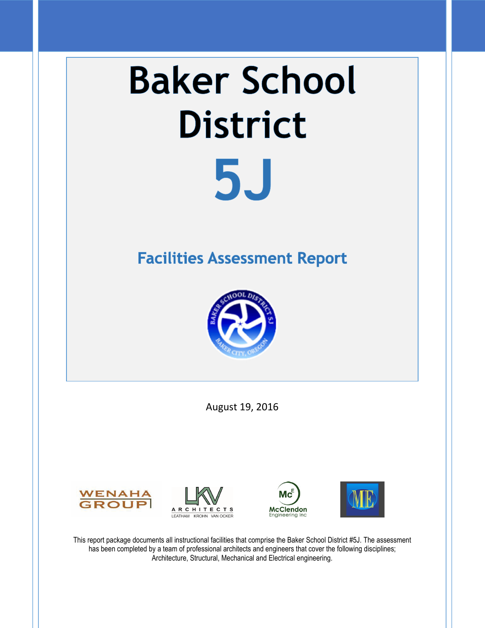# **Baker School District 5J**

# **Facilities Assessment Report**



August 19, 2016









This report package documents all instructional facilities that comprise the Baker School District #5J. The assessment has been completed by a team of professional architects and engineers that cover the following disciplines; Architecture, Structural, Mechanical and Electrical engineering.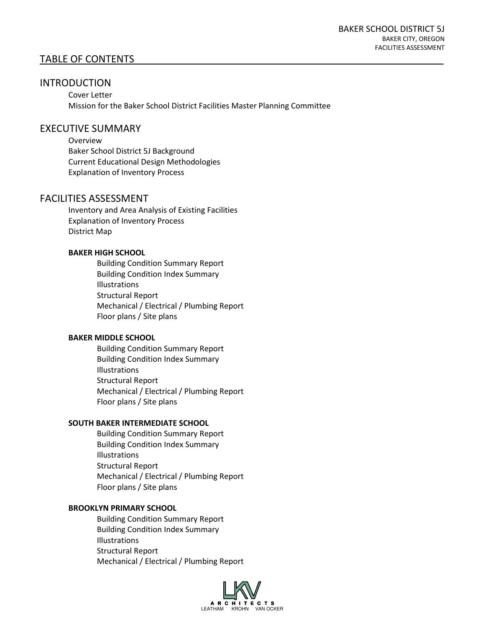# TABLE OF CONTENTS

# INTRODUCTION

Cover Letter Mission for the Baker School District Facilities Master Planning Committee

#### EXECUTIVE SUMMARY

Overview Baker School District 5J Background Current Educational Design Methodologies Explanation of Inventory Process

# FACILITIES ASSESSMENT

Inventory and Area Analysis of Existing Facilities Explanation of Inventory Process District Map

#### **BAKER HIGH SCHOOL**

Building Condition Summary Report Building Condition Index Summary Illustrations Structural Report Mechanical / Electrical / Plumbing Report Floor plans / Site plans

#### **BAKER MIDDLE SCHOOL**

Building Condition Summary Report Building Condition Index Summary Illustrations Structural Report Mechanical / Electrical / Plumbing Report Floor plans / Site plans

#### **SOUTH BAKER INTERMEDIATE SCHOOL**

Building Condition Summary Report Building Condition Index Summary Illustrations Structural Report Mechanical / Electrical / Plumbing Report Floor plans / Site plans

#### **BROOKLYN PRIMARY SCHOOL**

Building Condition Summary Report Building Condition Index Summary Illustrations Structural Report Mechanical / Electrical / Plumbing Report

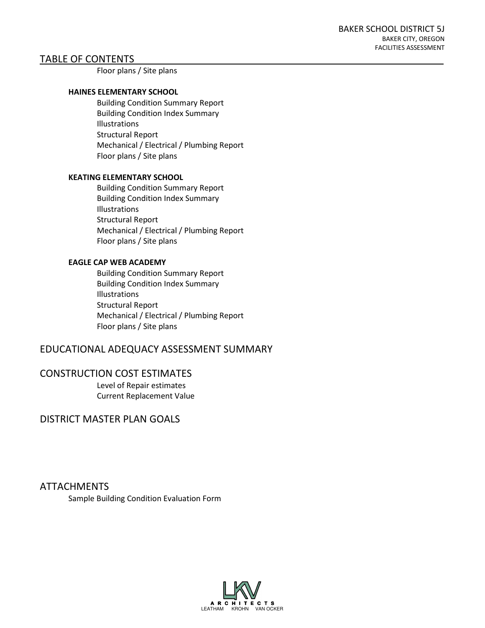# TABLE OF CONTENTS

Floor plans / Site plans

#### **HAINES ELEMENTARY SCHOOL**

Building Condition Summary Report Building Condition Index Summary Illustrations Structural Report Mechanical / Electrical / Plumbing Report Floor plans / Site plans

#### **KEATING ELEMENTARY SCHOOL**

Building Condition Summary Report Building Condition Index Summary Illustrations Structural Report Mechanical / Electrical / Plumbing Report Floor plans / Site plans

#### **EAGLE CAP WEB ACADEMY**

Building Condition Summary Report Building Condition Index Summary Illustrations Structural Report Mechanical / Electrical / Plumbing Report Floor plans / Site plans

# EDUCATIONAL ADEQUACY ASSESSMENT SUMMARY

#### CONSTRUCTION COST ESTIMATES

Level of Repair estimates Current Replacement Value

DISTRICT MASTER PLAN GOALS

ATTACHMENTS

Sample Building Condition Evaluation Form

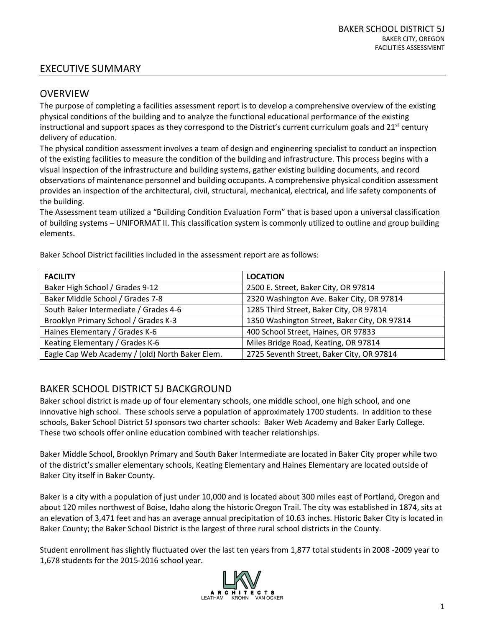# EXECUTIVE SUMMARY

# OVERVIEW

The purpose of completing a facilities assessment report is to develop a comprehensive overview of the existing physical conditions of the building and to analyze the functional educational performance of the existing instructional and support spaces as they correspond to the District's current curriculum goals and  $21^{st}$  century delivery of education.

The physical condition assessment involves a team of design and engineering specialist to conduct an inspection of the existing facilities to measure the condition of the building and infrastructure. This process begins with a visual inspection of the infrastructure and building systems, gather existing building documents, and record observations of maintenance personnel and building occupants. A comprehensive physical condition assessment provides an inspection of the architectural, civil, structural, mechanical, electrical, and life safety components of the building.

The Assessment team utilized a "Building Condition Evaluation Form" that is based upon a universal classification of building systems – UNIFORMAT II. This classification system is commonly utilized to outline and group building elements.

| <b>FACILITY</b>                                 | <b>LOCATION</b>                              |
|-------------------------------------------------|----------------------------------------------|
| Baker High School / Grades 9-12                 | 2500 E. Street, Baker City, OR 97814         |
| Baker Middle School / Grades 7-8                | 2320 Washington Ave. Baker City, OR 97814    |
| South Baker Intermediate / Grades 4-6           | 1285 Third Street, Baker City, OR 97814      |
| Brooklyn Primary School / Grades K-3            | 1350 Washington Street, Baker City, OR 97814 |
| Haines Elementary / Grades K-6                  | 400 School Street, Haines, OR 97833          |
| Keating Elementary / Grades K-6                 | Miles Bridge Road, Keating, OR 97814         |
| Eagle Cap Web Academy / (old) North Baker Elem. | 2725 Seventh Street, Baker City, OR 97814    |

Baker School District facilities included in the assessment report are as follows:

# BAKER SCHOOL DISTRICT 5J BACKGROUND

Baker school district is made up of four elementary schools, one middle school, one high school, and one innovative high school. These schools serve a population of approximately 1700 students. In addition to these schools, Baker School District 5J sponsors two charter schools: Baker Web Academy and Baker Early College. These two schools offer online education combined with teacher relationships.

Baker Middle School, Brooklyn Primary and South Baker Intermediate are located in Baker City proper while two of the district's smaller elementary schools, Keating Elementary and Haines Elementary are located outside of Baker City itself in Baker County.

Baker is a city with a population of just under 10,000 and is located about 300 miles east of Portland, Oregon and about 120 miles northwest of Boise, Idaho along the historic Oregon Trail. The city was established in 1874, sits at an elevation of 3,471 feet and has an average annual precipitation of 10.63 inches. Historic Baker City is located in Baker County; the Baker School District is the largest of three rural school districts in the County.

Student enrollment has slightly fluctuated over the last ten years from 1,877 total students in 2008 -2009 year to 1,678 students for the 2015-2016 school year.

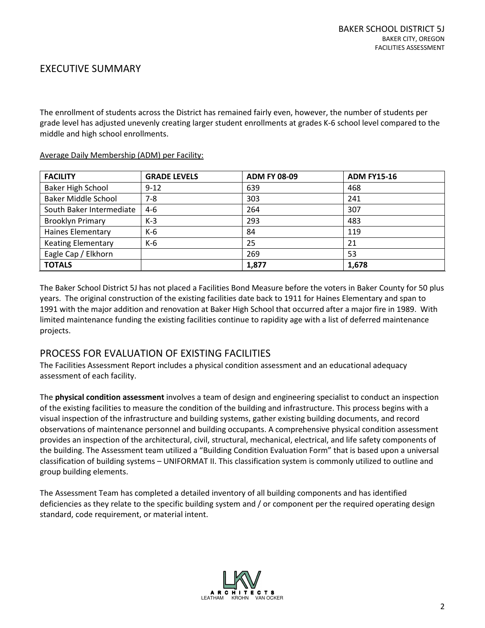# EXECUTIVE SUMMARY

The enrollment of students across the District has remained fairly even, however, the number of students per grade level has adjusted unevenly creating larger student enrollments at grades K-6 school level compared to the middle and high school enrollments.

| <b>FACILITY</b>            | <b>GRADE LEVELS</b> | <b>ADM FY 08-09</b> | <b>ADM FY15-16</b> |
|----------------------------|---------------------|---------------------|--------------------|
| <b>Baker High School</b>   | $9 - 12$            | 639                 | 468                |
| <b>Baker Middle School</b> | $7 - 8$             | 303                 | 241                |
| South Baker Intermediate   | $4-6$               | 264                 | 307                |
| <b>Brooklyn Primary</b>    | $K-3$               | 293                 | 483                |
| <b>Haines Elementary</b>   | K-6                 | 84                  | 119                |
| <b>Keating Elementary</b>  | K-6                 | 25                  | 21                 |
| Eagle Cap / Elkhorn        |                     | 269                 | 53                 |
| <b>TOTALS</b>              |                     | 1,877               | 1,678              |

#### Average Daily Membership (ADM) per Facility:

The Baker School District 5J has not placed a Facilities Bond Measure before the voters in Baker County for 50 plus years. The original construction of the existing facilities date back to 1911 for Haines Elementary and span to 1991 with the major addition and renovation at Baker High School that occurred after a major fire in 1989. With limited maintenance funding the existing facilities continue to rapidity age with a list of deferred maintenance projects.

# PROCESS FOR EVALUATION OF EXISTING FACILITIES

The Facilities Assessment Report includes a physical condition assessment and an educational adequacy assessment of each facility.

The **physical condition assessment** involves a team of design and engineering specialist to conduct an inspection of the existing facilities to measure the condition of the building and infrastructure. This process begins with a visual inspection of the infrastructure and building systems, gather existing building documents, and record observations of maintenance personnel and building occupants. A comprehensive physical condition assessment provides an inspection of the architectural, civil, structural, mechanical, electrical, and life safety components of the building. The Assessment team utilized a "Building Condition Evaluation Form" that is based upon a universal classification of building systems – UNIFORMAT II. This classification system is commonly utilized to outline and group building elements.

The Assessment Team has completed a detailed inventory of all building components and has identified deficiencies as they relate to the specific building system and / or component per the required operating design standard, code requirement, or material intent.

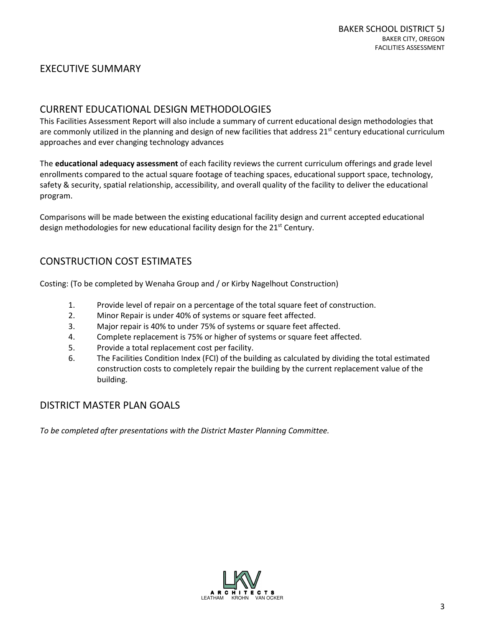# EXECUTIVE SUMMARY

# CURRENT EDUCATIONAL DESIGN METHODOLOGIES

This Facilities Assessment Report will also include a summary of current educational design methodologies that are commonly utilized in the planning and design of new facilities that address  $21^{st}$  century educational curriculum approaches and ever changing technology advances

The **educational adequacy assessment** of each facility reviews the current curriculum offerings and grade level enrollments compared to the actual square footage of teaching spaces, educational support space, technology, safety & security, spatial relationship, accessibility, and overall quality of the facility to deliver the educational program.

Comparisons will be made between the existing educational facility design and current accepted educational design methodologies for new educational facility design for the 21<sup>st</sup> Century.

# CONSTRUCTION COST ESTIMATES

Costing: (To be completed by Wenaha Group and / or Kirby Nagelhout Construction)

- 1. Provide level of repair on a percentage of the total square feet of construction.
- 2. Minor Repair is under 40% of systems or square feet affected.
- 3. Major repair is 40% to under 75% of systems or square feet affected.
- 4. Complete replacement is 75% or higher of systems or square feet affected.
- 5. Provide a total replacement cost per facility.
- 6. The Facilities Condition Index (FCI) of the building as calculated by dividing the total estimated construction costs to completely repair the building by the current replacement value of the building.

# DISTRICT MASTER PLAN GOALS

*To be completed after presentations with the District Master Planning Committee.* 

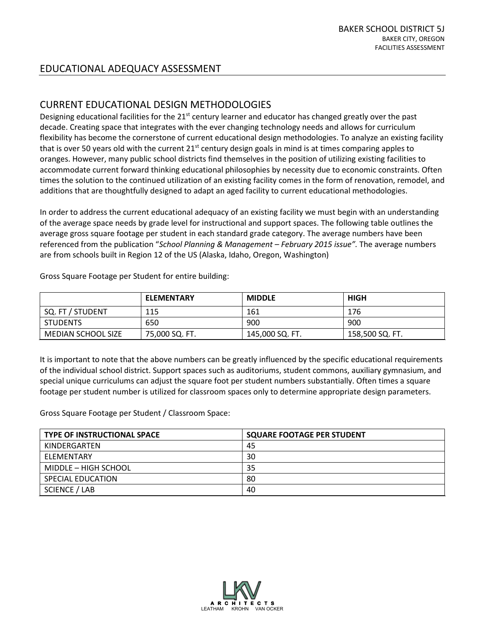# CURRENT EDUCATIONAL DESIGN METHODOLOGIES

Designing educational facilities for the  $21<sup>st</sup>$  century learner and educator has changed greatly over the past decade. Creating space that integrates with the ever changing technology needs and allows for curriculum flexibility has become the cornerstone of current educational design methodologies. To analyze an existing facility that is over 50 years old with the current  $21<sup>st</sup>$  century design goals in mind is at times comparing apples to oranges. However, many public school districts find themselves in the position of utilizing existing facilities to accommodate current forward thinking educational philosophies by necessity due to economic constraints. Often times the solution to the continued utilization of an existing facility comes in the form of renovation, remodel, and additions that are thoughtfully designed to adapt an aged facility to current educational methodologies.

In order to address the current educational adequacy of an existing facility we must begin with an understanding of the average space needs by grade level for instructional and support spaces. The following table outlines the average gross square footage per student in each standard grade category. The average numbers have been referenced from the publication "*School Planning & Management – February 2015 issue".* The average numbers are from schools built in Region 12 of the US (Alaska, Idaho, Oregon, Washington)

|                    | <b>ELEMENTARY</b> | <b>MIDDLE</b>   | <b>HIGH</b>     |
|--------------------|-------------------|-----------------|-----------------|
| SQ. FT / STUDENT   | 115               | 161             | 176             |
| <b>STUDENTS</b>    | 650               | 900             | 900             |
| MEDIAN SCHOOL SIZE | 75,000 SQ. FT.    | 145,000 SQ. FT. | 158,500 SQ. FT. |

Gross Square Footage per Student for entire building:

It is important to note that the above numbers can be greatly influenced by the specific educational requirements of the individual school district. Support spaces such as auditoriums, student commons, auxiliary gymnasium, and special unique curriculums can adjust the square foot per student numbers substantially. Often times a square footage per student number is utilized for classroom spaces only to determine appropriate design parameters.

Gross Square Footage per Student / Classroom Space:

| <b>TYPE OF INSTRUCTIONAL SPACE</b> | <b>SQUARE FOOTAGE PER STUDENT</b> |
|------------------------------------|-----------------------------------|
| KINDERGARTEN                       | 45                                |
| ELEMENTARY                         | 30                                |
| MIDDLE - HIGH SCHOOL               | 35                                |
| SPECIAL EDUCATION                  | 80                                |
| SCIENCE / LAB                      | 40                                |

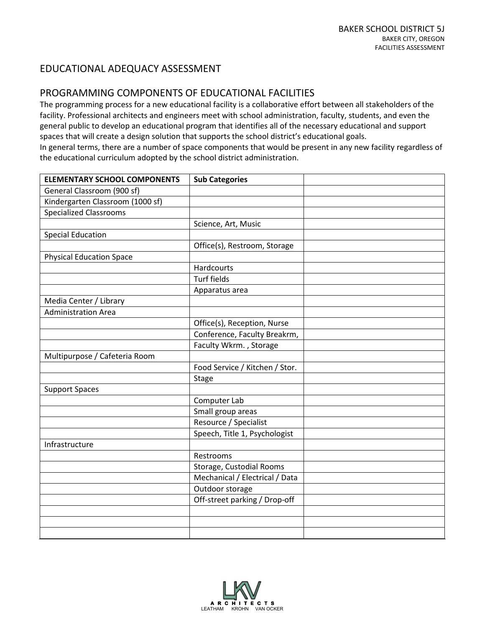# PROGRAMMING COMPONENTS OF EDUCATIONAL FACILITIES

The programming process for a new educational facility is a collaborative effort between all stakeholders of the facility. Professional architects and engineers meet with school administration, faculty, students, and even the general public to develop an educational program that identifies all of the necessary educational and support spaces that will create a design solution that supports the school district's educational goals. In general terms, there are a number of space components that would be present in any new facility regardless of the educational curriculum adopted by the school district administration.

| <b>ELEMENTARY SCHOOL COMPONENTS</b> | <b>Sub Categories</b>          |  |
|-------------------------------------|--------------------------------|--|
| General Classroom (900 sf)          |                                |  |
| Kindergarten Classroom (1000 sf)    |                                |  |
| <b>Specialized Classrooms</b>       |                                |  |
|                                     | Science, Art, Music            |  |
| <b>Special Education</b>            |                                |  |
|                                     | Office(s), Restroom, Storage   |  |
| <b>Physical Education Space</b>     |                                |  |
|                                     | Hardcourts                     |  |
|                                     | <b>Turf fields</b>             |  |
|                                     | Apparatus area                 |  |
| Media Center / Library              |                                |  |
| <b>Administration Area</b>          |                                |  |
|                                     | Office(s), Reception, Nurse    |  |
|                                     | Conference, Faculty Breakrm,   |  |
|                                     | Faculty Wkrm., Storage         |  |
| Multipurpose / Cafeteria Room       |                                |  |
|                                     | Food Service / Kitchen / Stor. |  |
|                                     | <b>Stage</b>                   |  |
| <b>Support Spaces</b>               |                                |  |
|                                     | Computer Lab                   |  |
|                                     | Small group areas              |  |
|                                     | Resource / Specialist          |  |
|                                     | Speech, Title 1, Psychologist  |  |
| Infrastructure                      |                                |  |
|                                     | Restrooms                      |  |
|                                     | Storage, Custodial Rooms       |  |
|                                     | Mechanical / Electrical / Data |  |
|                                     | Outdoor storage                |  |
|                                     | Off-street parking / Drop-off  |  |
|                                     |                                |  |
|                                     |                                |  |
|                                     |                                |  |

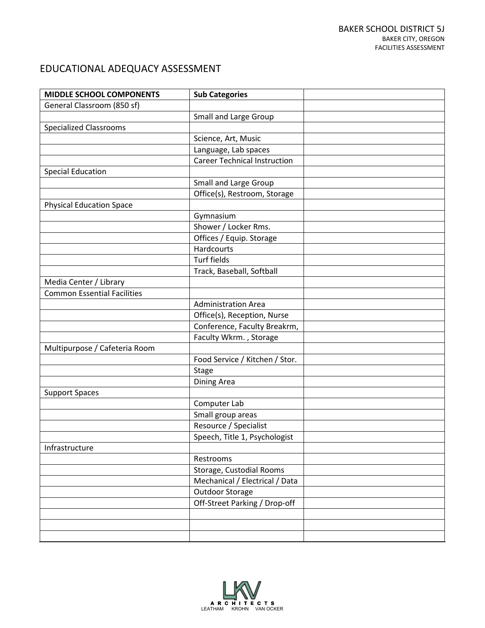| <b>MIDDLE SCHOOL COMPONENTS</b>    | <b>Sub Categories</b>               |  |
|------------------------------------|-------------------------------------|--|
| General Classroom (850 sf)         |                                     |  |
|                                    | <b>Small and Large Group</b>        |  |
| <b>Specialized Classrooms</b>      |                                     |  |
|                                    | Science, Art, Music                 |  |
|                                    | Language, Lab spaces                |  |
|                                    | <b>Career Technical Instruction</b> |  |
| <b>Special Education</b>           |                                     |  |
|                                    | <b>Small and Large Group</b>        |  |
|                                    | Office(s), Restroom, Storage        |  |
| <b>Physical Education Space</b>    |                                     |  |
|                                    | Gymnasium                           |  |
|                                    | Shower / Locker Rms.                |  |
|                                    | Offices / Equip. Storage            |  |
|                                    | Hardcourts                          |  |
|                                    | <b>Turf fields</b>                  |  |
|                                    | Track, Baseball, Softball           |  |
| Media Center / Library             |                                     |  |
| <b>Common Essential Facilities</b> |                                     |  |
|                                    | <b>Administration Area</b>          |  |
|                                    | Office(s), Reception, Nurse         |  |
|                                    | Conference, Faculty Breakrm,        |  |
|                                    | Faculty Wkrm., Storage              |  |
| Multipurpose / Cafeteria Room      |                                     |  |
|                                    | Food Service / Kitchen / Stor.      |  |
|                                    | <b>Stage</b>                        |  |
|                                    | Dining Area                         |  |
| <b>Support Spaces</b>              |                                     |  |
|                                    | Computer Lab                        |  |
|                                    | Small group areas                   |  |
|                                    | Resource / Specialist               |  |
|                                    | Speech, Title 1, Psychologist       |  |
| Infrastructure                     |                                     |  |
|                                    | Restrooms                           |  |
|                                    | Storage, Custodial Rooms            |  |
|                                    | Mechanical / Electrical / Data      |  |
|                                    | Outdoor Storage                     |  |
|                                    | Off-Street Parking / Drop-off       |  |
|                                    |                                     |  |
|                                    |                                     |  |
|                                    |                                     |  |

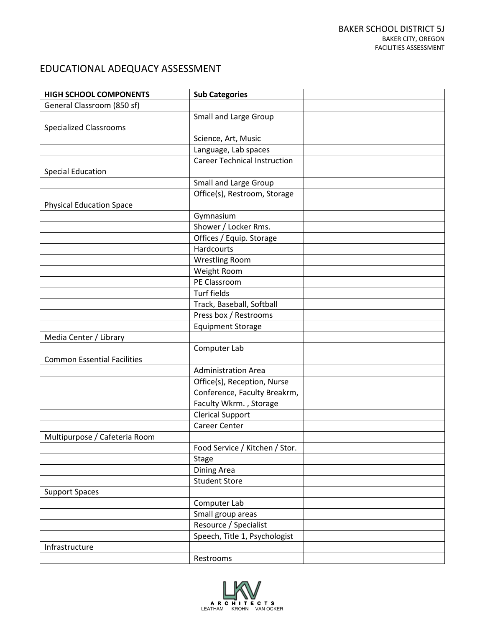| <b>HIGH SCHOOL COMPONENTS</b>      | <b>Sub Categories</b>               |  |
|------------------------------------|-------------------------------------|--|
| General Classroom (850 sf)         |                                     |  |
|                                    | <b>Small and Large Group</b>        |  |
| <b>Specialized Classrooms</b>      |                                     |  |
|                                    | Science, Art, Music                 |  |
|                                    | Language, Lab spaces                |  |
|                                    | <b>Career Technical Instruction</b> |  |
| <b>Special Education</b>           |                                     |  |
|                                    | <b>Small and Large Group</b>        |  |
|                                    | Office(s), Restroom, Storage        |  |
| <b>Physical Education Space</b>    |                                     |  |
|                                    | Gymnasium                           |  |
|                                    | Shower / Locker Rms.                |  |
|                                    | Offices / Equip. Storage            |  |
|                                    | <b>Hardcourts</b>                   |  |
|                                    | <b>Wrestling Room</b>               |  |
|                                    | Weight Room                         |  |
|                                    | PE Classroom                        |  |
|                                    | <b>Turf fields</b>                  |  |
|                                    | Track, Baseball, Softball           |  |
|                                    | Press box / Restrooms               |  |
|                                    | <b>Equipment Storage</b>            |  |
| Media Center / Library             |                                     |  |
|                                    | Computer Lab                        |  |
| <b>Common Essential Facilities</b> |                                     |  |
|                                    | <b>Administration Area</b>          |  |
|                                    | Office(s), Reception, Nurse         |  |
|                                    | Conference, Faculty Breakrm,        |  |
|                                    | Faculty Wkrm., Storage              |  |
|                                    | <b>Clerical Support</b>             |  |
|                                    | Career Center                       |  |
| Multipurpose / Cafeteria Room      |                                     |  |
|                                    | Food Service / Kitchen / Stor.      |  |
|                                    | <b>Stage</b>                        |  |
|                                    | <b>Dining Area</b>                  |  |
|                                    | <b>Student Store</b>                |  |
| <b>Support Spaces</b>              |                                     |  |
|                                    | Computer Lab                        |  |
|                                    | Small group areas                   |  |
|                                    | Resource / Specialist               |  |
|                                    | Speech, Title 1, Psychologist       |  |
| Infrastructure                     |                                     |  |
|                                    | Restrooms                           |  |

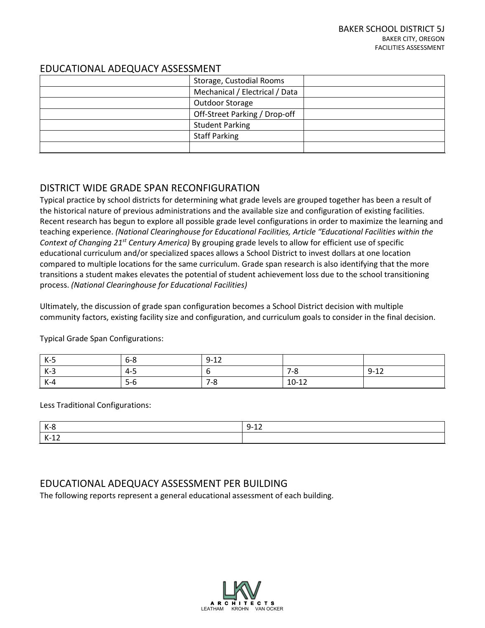| Storage, Custodial Rooms       |  |
|--------------------------------|--|
| Mechanical / Electrical / Data |  |
| Outdoor Storage                |  |
| Off-Street Parking / Drop-off  |  |
| <b>Student Parking</b>         |  |
| <b>Staff Parking</b>           |  |
|                                |  |

# DISTRICT WIDE GRADE SPAN RECONFIGURATION

Typical practice by school districts for determining what grade levels are grouped together has been a result of the historical nature of previous administrations and the available size and configuration of existing facilities. Recent research has begun to explore all possible grade level configurations in order to maximize the learning and teaching experience. *(National Clearinghouse for Educational Facilities, Article "Educational Facilities within the Context of Changing 21st Century America)* By grouping grade levels to allow for efficient use of specific educational curriculum and/or specialized spaces allows a School District to invest dollars at one location compared to multiple locations for the same curriculum. Grade span research is also identifying that the more transitions a student makes elevates the potential of student achievement loss due to the school transitioning process. *(National Clearinghouse for Educational Facilities)*

Ultimately, the discussion of grade span configuration becomes a School District decision with multiple community factors, existing facility size and configuration, and curriculum goals to consider in the final decision.

| $K-5$ | $6 - 8$ | $9 - 12$ |         |          |
|-------|---------|----------|---------|----------|
| $K-3$ | $4 - 5$ |          | $7 - 8$ | $9 - 12$ |
| $K-4$ | $5-6$   | 7-8      | $10-12$ |          |

Typical Grade Span Configurations:

Less Traditional Configurations:

|                     | ∼.<br>-- |
|---------------------|----------|
| $\mathbf{z}$<br>. . |          |

# EDUCATIONAL ADEQUACY ASSESSMENT PER BUILDING

The following reports represent a general educational assessment of each building.

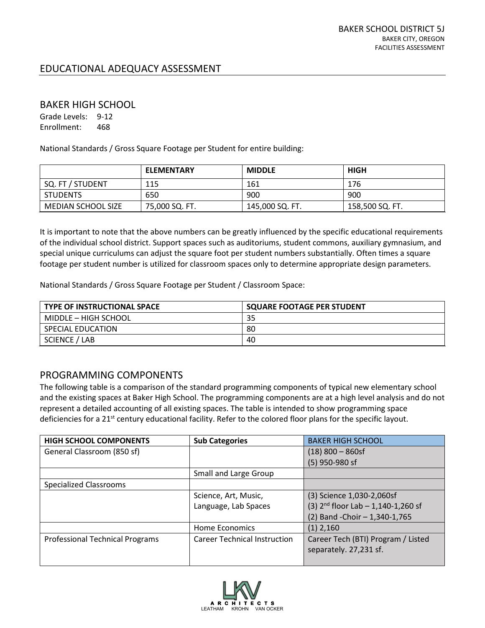#### BAKER HIGH SCHOOL

Grade Levels: 9-12 Enrollment: 468

National Standards / Gross Square Footage per Student for entire building:

|                           | <b>ELEMENTARY</b> | <b>MIDDLE</b>   | <b>HIGH</b>     |
|---------------------------|-------------------|-----------------|-----------------|
| SQ. FT / STUDENT          | 115               | 161             | 176             |
| <b>STUDENTS</b>           | 650               | 900             | 900             |
| <b>MEDIAN SCHOOL SIZE</b> | 75,000 SQ. FT.    | 145,000 SQ. FT. | 158,500 SQ. FT. |

It is important to note that the above numbers can be greatly influenced by the specific educational requirements of the individual school district. Support spaces such as auditoriums, student commons, auxiliary gymnasium, and special unique curriculums can adjust the square foot per student numbers substantially. Often times a square footage per student number is utilized for classroom spaces only to determine appropriate design parameters.

National Standards / Gross Square Footage per Student / Classroom Space:

| <b>TYPE OF INSTRUCTIONAL SPACE</b> | <b>SQUARE FOOTAGE PER STUDENT</b> |
|------------------------------------|-----------------------------------|
| MIDDLE – HIGH SCHOOL               | 35                                |
| SPECIAL EDUCATION                  | 80                                |
| SCIENCE / LAB                      | 40                                |

# PROGRAMMING COMPONENTS

The following table is a comparison of the standard programming components of typical new elementary school and the existing spaces at Baker High School. The programming components are at a high level analysis and do not represent a detailed accounting of all existing spaces. The table is intended to show programming space deficiencies for a 21<sup>st</sup> century educational facility. Refer to the colored floor plans for the specific layout.

| <b>HIGH SCHOOL COMPONENTS</b>          | <b>Sub Categories</b>               | <b>BAKER HIGH SCHOOL</b>                |
|----------------------------------------|-------------------------------------|-----------------------------------------|
| General Classroom (850 sf)             |                                     | $(18)$ 800 - 860sf                      |
|                                        |                                     | $(5)$ 950-980 sf                        |
|                                        | Small and Large Group               |                                         |
| Specialized Classrooms                 |                                     |                                         |
|                                        | Science, Art, Music,                | (3) Science 1,030-2,060sf               |
|                                        | Language, Lab Spaces                | (3) $2^{nd}$ floor Lab - 1,140-1,260 sf |
|                                        |                                     | (2) Band - Choir - 1,340-1,765          |
|                                        | Home Economics                      | $(1)$ 2,160                             |
| <b>Professional Technical Programs</b> | <b>Career Technical Instruction</b> | Career Tech (BTI) Program / Listed      |
|                                        |                                     | separately. 27,231 sf.                  |
|                                        |                                     |                                         |

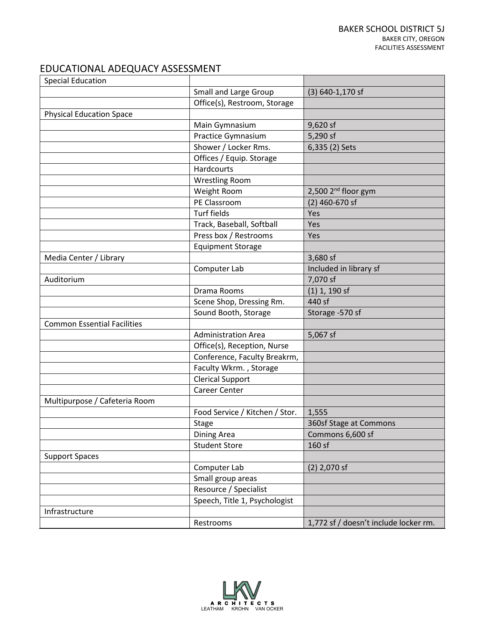| <b>Special Education</b>           |                                |                                       |
|------------------------------------|--------------------------------|---------------------------------------|
|                                    | Small and Large Group          | $(3) 640 - 1,170$ sf                  |
|                                    | Office(s), Restroom, Storage   |                                       |
| <b>Physical Education Space</b>    |                                |                                       |
|                                    | Main Gymnasium                 | 9,620 sf                              |
|                                    | Practice Gymnasium             | $5,290$ sf                            |
|                                    | Shower / Locker Rms.           | 6,335 (2) Sets                        |
|                                    | Offices / Equip. Storage       |                                       |
|                                    | <b>Hardcourts</b>              |                                       |
|                                    | <b>Wrestling Room</b>          |                                       |
|                                    | Weight Room                    | 2,500 2 <sup>nd</sup> floor gym       |
|                                    | PE Classroom                   | $(2)$ 460-670 sf                      |
|                                    | <b>Turf fields</b>             | Yes                                   |
|                                    | Track, Baseball, Softball      | Yes                                   |
|                                    | Press box / Restrooms          | Yes                                   |
|                                    | <b>Equipment Storage</b>       |                                       |
| Media Center / Library             |                                | 3,680 sf                              |
|                                    | Computer Lab                   | Included in library sf                |
| Auditorium                         |                                | 7,070 sf                              |
|                                    | Drama Rooms                    | $(1)$ 1, 190 sf                       |
|                                    | Scene Shop, Dressing Rm.       | 440 sf                                |
|                                    | Sound Booth, Storage           | Storage -570 sf                       |
| <b>Common Essential Facilities</b> |                                |                                       |
|                                    | <b>Administration Area</b>     | 5,067 sf                              |
|                                    | Office(s), Reception, Nurse    |                                       |
|                                    | Conference, Faculty Breakrm,   |                                       |
|                                    | Faculty Wkrm., Storage         |                                       |
|                                    | <b>Clerical Support</b>        |                                       |
|                                    | <b>Career Center</b>           |                                       |
| Multipurpose / Cafeteria Room      |                                |                                       |
|                                    | Food Service / Kitchen / Stor. | 1,555                                 |
|                                    | Stage                          | 360sf Stage at Commons                |
|                                    | Dining Area                    | Commons 6,600 sf                      |
|                                    | <b>Student Store</b>           | 160 sf                                |
| <b>Support Spaces</b>              |                                |                                       |
|                                    | Computer Lab                   | $(2)$ 2,070 sf                        |
|                                    | Small group areas              |                                       |
|                                    | Resource / Specialist          |                                       |
|                                    | Speech, Title 1, Psychologist  |                                       |
| Infrastructure                     |                                |                                       |
|                                    | Restrooms                      | 1,772 sf / doesn't include locker rm. |

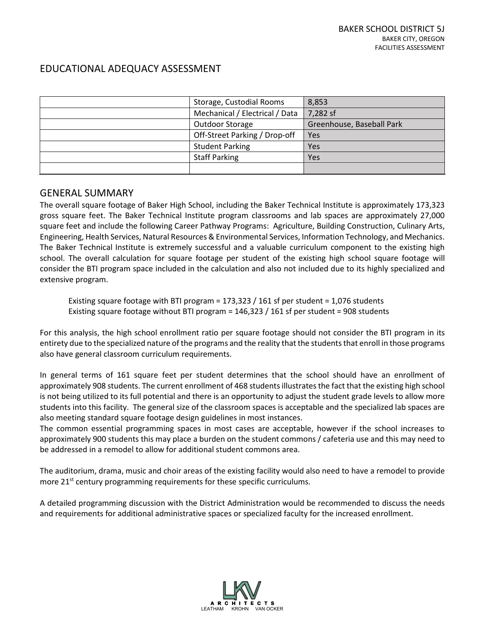| Storage, Custodial Rooms       | 8,853                     |
|--------------------------------|---------------------------|
| Mechanical / Electrical / Data | 7,282 sf                  |
| Outdoor Storage                | Greenhouse, Baseball Park |
| Off-Street Parking / Drop-off  | Yes                       |
| <b>Student Parking</b>         | Yes                       |
| <b>Staff Parking</b>           | Yes                       |
|                                |                           |

# GENERAL SUMMARY

The overall square footage of Baker High School, including the Baker Technical Institute is approximately 173,323 gross square feet. The Baker Technical Institute program classrooms and lab spaces are approximately 27,000 square feet and include the following Career Pathway Programs: Agriculture, Building Construction, Culinary Arts, Engineering, Health Services, Natural Resources & Environmental Services, Information Technology, and Mechanics. The Baker Technical Institute is extremely successful and a valuable curriculum component to the existing high school. The overall calculation for square footage per student of the existing high school square footage will consider the BTI program space included in the calculation and also not included due to its highly specialized and extensive program.

 Existing square footage with BTI program = 173,323 / 161 sf per student = 1,076 students Existing square footage without BTI program = 146,323 / 161 sf per student = 908 students

For this analysis, the high school enrollment ratio per square footage should not consider the BTI program in its entirety due to the specialized nature of the programs and the reality that the students that enroll in those programs also have general classroom curriculum requirements.

In general terms of 161 square feet per student determines that the school should have an enrollment of approximately 908 students. The current enrollment of 468 students illustrates the fact that the existing high school is not being utilized to its full potential and there is an opportunity to adjust the student grade levels to allow more students into this facility. The general size of the classroom spaces is acceptable and the specialized lab spaces are also meeting standard square footage design guidelines in most instances.

The common essential programming spaces in most cases are acceptable, however if the school increases to approximately 900 students this may place a burden on the student commons / cafeteria use and this may need to be addressed in a remodel to allow for additional student commons area.

The auditorium, drama, music and choir areas of the existing facility would also need to have a remodel to provide more 21<sup>st</sup> century programming requirements for these specific curriculums.

A detailed programming discussion with the District Administration would be recommended to discuss the needs and requirements for additional administrative spaces or specialized faculty for the increased enrollment.

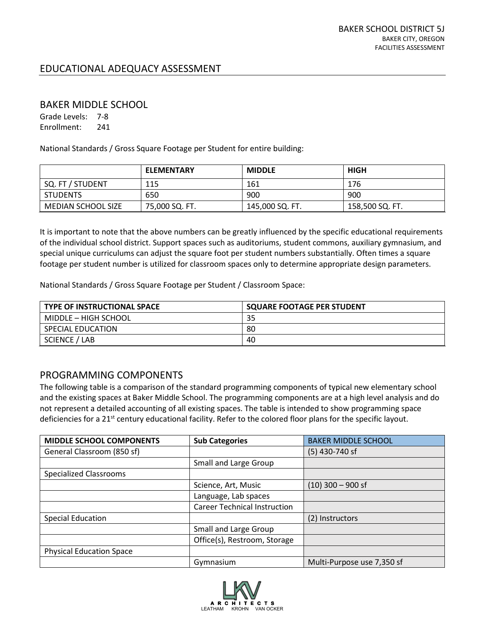#### BAKER MIDDLE SCHOOL

Grade Levels: 7-8 Enrollment: 241

National Standards / Gross Square Footage per Student for entire building:

|                           | <b>ELEMENTARY</b> | <b>MIDDLE</b>   | <b>HIGH</b>     |
|---------------------------|-------------------|-----------------|-----------------|
| SQ. FT / STUDENT          | 115               | 161             | 176             |
| <b>STUDENTS</b>           | 650               | 900             | 900             |
| <b>MEDIAN SCHOOL SIZE</b> | 75,000 SQ. FT.    | 145,000 SQ. FT. | 158,500 SQ. FT. |

It is important to note that the above numbers can be greatly influenced by the specific educational requirements of the individual school district. Support spaces such as auditoriums, student commons, auxiliary gymnasium, and special unique curriculums can adjust the square foot per student numbers substantially. Often times a square footage per student number is utilized for classroom spaces only to determine appropriate design parameters.

National Standards / Gross Square Footage per Student / Classroom Space:

| <b>TYPE OF INSTRUCTIONAL SPACE</b> | <b>SQUARE FOOTAGE PER STUDENT</b> |
|------------------------------------|-----------------------------------|
| MIDDLE – HIGH SCHOOL               | 35                                |
| SPECIAL EDUCATION                  | 80                                |
| SCIENCE / LAB                      | 40                                |

# PROGRAMMING COMPONENTS

The following table is a comparison of the standard programming components of typical new elementary school and the existing spaces at Baker Middle School. The programming components are at a high level analysis and do not represent a detailed accounting of all existing spaces. The table is intended to show programming space deficiencies for a 21<sup>st</sup> century educational facility. Refer to the colored floor plans for the specific layout.

| <b>MIDDLE SCHOOL COMPONENTS</b> | <b>Sub Categories</b>               | <b>BAKER MIDDLE SCHOOL</b> |
|---------------------------------|-------------------------------------|----------------------------|
| General Classroom (850 sf)      |                                     | $(5)$ 430-740 sf           |
|                                 | <b>Small and Large Group</b>        |                            |
| <b>Specialized Classrooms</b>   |                                     |                            |
|                                 | Science, Art, Music                 | $(10)$ 300 - 900 sf        |
|                                 | Language, Lab spaces                |                            |
|                                 | <b>Career Technical Instruction</b> |                            |
| <b>Special Education</b>        |                                     | (2) Instructors            |
|                                 | <b>Small and Large Group</b>        |                            |
|                                 | Office(s), Restroom, Storage        |                            |
| <b>Physical Education Space</b> |                                     |                            |
|                                 | Gymnasium                           | Multi-Purpose use 7,350 sf |

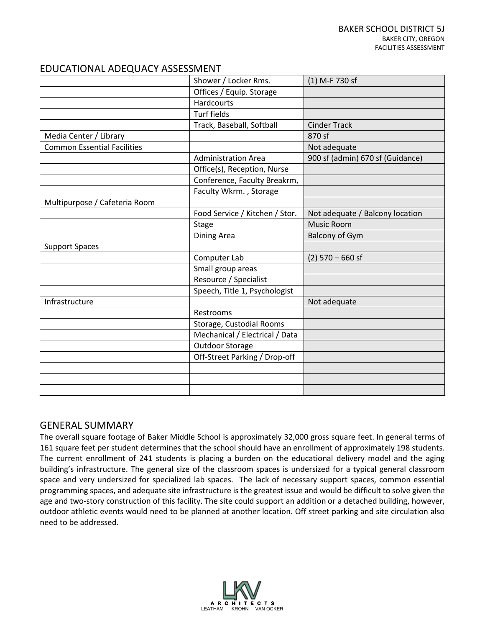|                                    | Shower / Locker Rms.           | (1) M-F 730 sf                   |
|------------------------------------|--------------------------------|----------------------------------|
|                                    | Offices / Equip. Storage       |                                  |
|                                    | <b>Hardcourts</b>              |                                  |
|                                    | <b>Turf fields</b>             |                                  |
|                                    | Track, Baseball, Softball      | <b>Cinder Track</b>              |
| Media Center / Library             |                                | 870 sf                           |
| <b>Common Essential Facilities</b> |                                | Not adequate                     |
|                                    | <b>Administration Area</b>     | 900 sf (admin) 670 sf (Guidance) |
|                                    | Office(s), Reception, Nurse    |                                  |
|                                    | Conference, Faculty Breakrm,   |                                  |
|                                    | Faculty Wkrm., Storage         |                                  |
| Multipurpose / Cafeteria Room      |                                |                                  |
|                                    | Food Service / Kitchen / Stor. | Not adequate / Balcony location  |
|                                    | Stage                          | <b>Music Room</b>                |
|                                    | Dining Area                    | <b>Balcony of Gym</b>            |
| <b>Support Spaces</b>              |                                |                                  |
|                                    | Computer Lab                   | $(2)$ 570 – 660 sf               |
|                                    | Small group areas              |                                  |
|                                    | Resource / Specialist          |                                  |
|                                    | Speech, Title 1, Psychologist  |                                  |
| Infrastructure                     |                                | Not adequate                     |
|                                    | Restrooms                      |                                  |
|                                    | Storage, Custodial Rooms       |                                  |
|                                    | Mechanical / Electrical / Data |                                  |
|                                    | <b>Outdoor Storage</b>         |                                  |
|                                    | Off-Street Parking / Drop-off  |                                  |
|                                    |                                |                                  |
|                                    |                                |                                  |
|                                    |                                |                                  |

# GENERAL SUMMARY

The overall square footage of Baker Middle School is approximately 32,000 gross square feet. In general terms of 161 square feet per student determines that the school should have an enrollment of approximately 198 students. The current enrollment of 241 students is placing a burden on the educational delivery model and the aging building's infrastructure. The general size of the classroom spaces is undersized for a typical general classroom space and very undersized for specialized lab spaces. The lack of necessary support spaces, common essential programming spaces, and adequate site infrastructure is the greatest issue and would be difficult to solve given the age and two-story construction of this facility. The site could support an addition or a detached building, however, outdoor athletic events would need to be planned at another location. Off street parking and site circulation also need to be addressed.

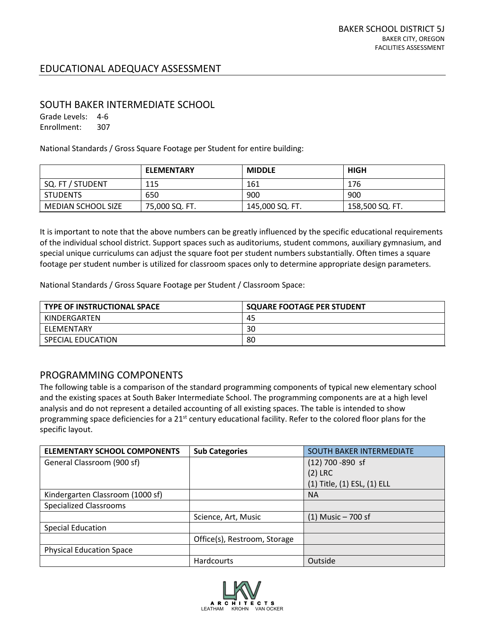# SOUTH BAKER INTERMEDIATE SCHOOL

Grade Levels: 4-6 Enrollment: 307

National Standards / Gross Square Footage per Student for entire building:

|                    | <b>ELEMENTARY</b> | <b>MIDDLE</b>   | <b>HIGH</b>     |
|--------------------|-------------------|-----------------|-----------------|
| SQ. FT / STUDENT   | 115               | 161             | 176             |
| <b>STUDENTS</b>    | 650               | 900             | 900             |
| MEDIAN SCHOOL SIZE | 75,000 SQ. FT.    | 145,000 SQ. FT. | 158,500 SQ. FT. |

It is important to note that the above numbers can be greatly influenced by the specific educational requirements of the individual school district. Support spaces such as auditoriums, student commons, auxiliary gymnasium, and special unique curriculums can adjust the square foot per student numbers substantially. Often times a square footage per student number is utilized for classroom spaces only to determine appropriate design parameters.

National Standards / Gross Square Footage per Student / Classroom Space:

| <b>TYPE OF INSTRUCTIONAL SPACE</b> | <b>SQUARE FOOTAGE PER STUDENT</b> |
|------------------------------------|-----------------------------------|
| KINDERGARTEN                       | 45                                |
| ELEMENTARY                         | 30                                |
| SPECIAL EDUCATION                  | 80                                |

# PROGRAMMING COMPONENTS

The following table is a comparison of the standard programming components of typical new elementary school and the existing spaces at South Baker Intermediate School. The programming components are at a high level analysis and do not represent a detailed accounting of all existing spaces. The table is intended to show programming space deficiencies for a 21<sup>st</sup> century educational facility. Refer to the colored floor plans for the specific layout.

| <b>ELEMENTARY SCHOOL COMPONENTS</b> | <b>Sub Categories</b>        | <b>SOUTH BAKER INTERMEDIATE</b> |
|-------------------------------------|------------------------------|---------------------------------|
| General Classroom (900 sf)          |                              | $(12)$ 700 -890 sf              |
|                                     |                              | $(2)$ LRC                       |
|                                     |                              | (1) Title, (1) ESL, (1) ELL     |
| Kindergarten Classroom (1000 sf)    |                              | <b>NA</b>                       |
| <b>Specialized Classrooms</b>       |                              |                                 |
|                                     | Science, Art, Music          | $(1)$ Music - 700 sf            |
| <b>Special Education</b>            |                              |                                 |
|                                     | Office(s), Restroom, Storage |                                 |
| <b>Physical Education Space</b>     |                              |                                 |
|                                     | Hardcourts                   | Outside                         |

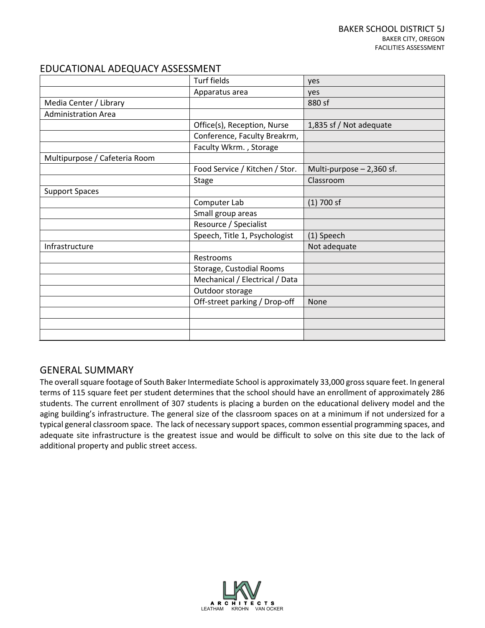|                               | <b>Turf fields</b>             | yes                       |
|-------------------------------|--------------------------------|---------------------------|
|                               | Apparatus area                 | yes                       |
| Media Center / Library        |                                | 880 sf                    |
| <b>Administration Area</b>    |                                |                           |
|                               | Office(s), Reception, Nurse    | 1,835 sf / Not adequate   |
|                               | Conference, Faculty Breakrm,   |                           |
|                               | Faculty Wkrm., Storage         |                           |
| Multipurpose / Cafeteria Room |                                |                           |
|                               | Food Service / Kitchen / Stor. | Multi-purpose - 2,360 sf. |
|                               | Stage                          | Classroom                 |
| <b>Support Spaces</b>         |                                |                           |
|                               | Computer Lab                   | $(1)$ 700 sf              |
|                               | Small group areas              |                           |
|                               | Resource / Specialist          |                           |
|                               | Speech, Title 1, Psychologist  | (1) Speech                |
| Infrastructure                |                                | Not adequate              |
|                               | Restrooms                      |                           |
|                               | Storage, Custodial Rooms       |                           |
|                               | Mechanical / Electrical / Data |                           |
|                               | Outdoor storage                |                           |
|                               | Off-street parking / Drop-off  | None                      |
|                               |                                |                           |
|                               |                                |                           |
|                               |                                |                           |

# GENERAL SUMMARY

The overall square footage of South Baker Intermediate School is approximately 33,000 gross square feet. In general terms of 115 square feet per student determines that the school should have an enrollment of approximately 286 students. The current enrollment of 307 students is placing a burden on the educational delivery model and the aging building's infrastructure. The general size of the classroom spaces on at a minimum if not undersized for a typical general classroom space. The lack of necessary support spaces, common essential programming spaces, and adequate site infrastructure is the greatest issue and would be difficult to solve on this site due to the lack of additional property and public street access.

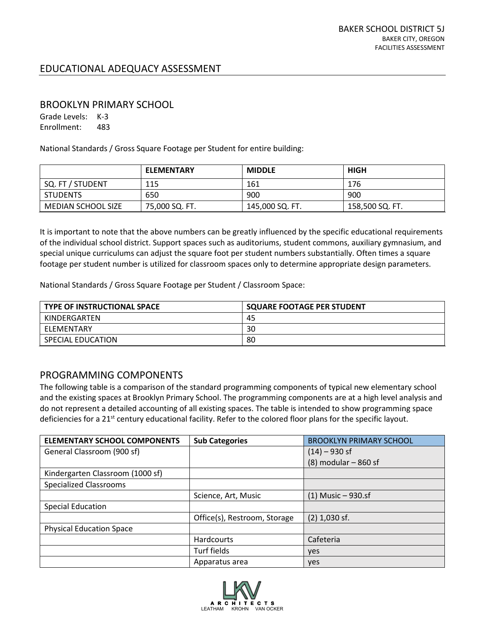#### BROOKLYN PRIMARY SCHOOL

Grade Levels: K-3 Enrollment: 483

National Standards / Gross Square Footage per Student for entire building:

|                    | <b>ELEMENTARY</b> | <b>MIDDLE</b>   | <b>HIGH</b>     |
|--------------------|-------------------|-----------------|-----------------|
| SQ. FT / STUDENT   | 115               | 161             | 176             |
| <b>STUDENTS</b>    | 650               | 900             | 900             |
| MEDIAN SCHOOL SIZE | 75,000 SQ. FT.    | 145,000 SQ. FT. | 158,500 SQ. FT. |

It is important to note that the above numbers can be greatly influenced by the specific educational requirements of the individual school district. Support spaces such as auditoriums, student commons, auxiliary gymnasium, and special unique curriculums can adjust the square foot per student numbers substantially. Often times a square footage per student number is utilized for classroom spaces only to determine appropriate design parameters.

National Standards / Gross Square Footage per Student / Classroom Space:

| <b>TYPE OF INSTRUCTIONAL SPACE</b> | <b>SQUARE FOOTAGE PER STUDENT</b> |
|------------------------------------|-----------------------------------|
| KINDERGARTEN                       | 45                                |
| ELEMENTARY                         | 30                                |
| SPECIAL EDUCATION                  | 80                                |

# PROGRAMMING COMPONENTS

The following table is a comparison of the standard programming components of typical new elementary school and the existing spaces at Brooklyn Primary School. The programming components are at a high level analysis and do not represent a detailed accounting of all existing spaces. The table is intended to show programming space deficiencies for a 21<sup>st</sup> century educational facility. Refer to the colored floor plans for the specific layout.

| <b>ELEMENTARY SCHOOL COMPONENTS</b> | <b>Sub Categories</b>        | <b>BROOKLYN PRIMARY SCHOOL</b> |
|-------------------------------------|------------------------------|--------------------------------|
| General Classroom (900 sf)          |                              | $(14) - 930$ sf                |
|                                     |                              | $(8)$ modular $-$ 860 sf       |
| Kindergarten Classroom (1000 sf)    |                              |                                |
| <b>Specialized Classrooms</b>       |                              |                                |
|                                     | Science, Art, Music          | $(1)$ Music - 930.sf           |
| <b>Special Education</b>            |                              |                                |
|                                     | Office(s), Restroom, Storage | $(2)$ 1,030 sf.                |
| <b>Physical Education Space</b>     |                              |                                |
|                                     | <b>Hardcourts</b>            | Cafeteria                      |
|                                     | Turf fields                  | yes                            |
|                                     | Apparatus area               | <b>ves</b>                     |

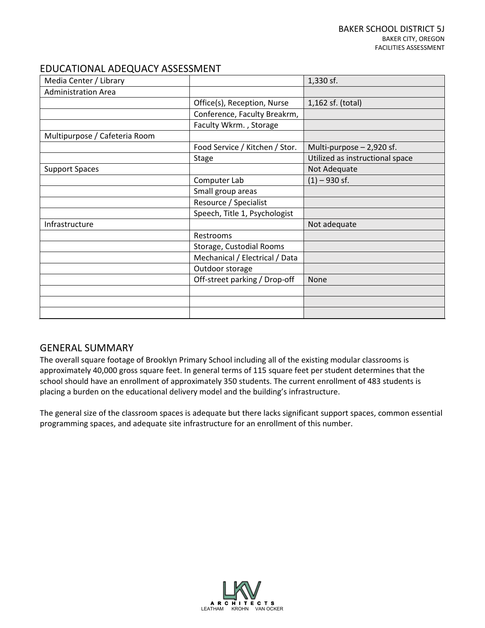| Media Center / Library        |                                | 1,330 sf.                       |
|-------------------------------|--------------------------------|---------------------------------|
| <b>Administration Area</b>    |                                |                                 |
|                               | Office(s), Reception, Nurse    | 1,162 sf. (total)               |
|                               | Conference, Faculty Breakrm,   |                                 |
|                               | Faculty Wkrm., Storage         |                                 |
| Multipurpose / Cafeteria Room |                                |                                 |
|                               | Food Service / Kitchen / Stor. | Multi-purpose - 2,920 sf.       |
|                               | <b>Stage</b>                   | Utilized as instructional space |
| <b>Support Spaces</b>         |                                | Not Adequate                    |
|                               | Computer Lab                   | $(1) - 930$ sf.                 |
|                               | Small group areas              |                                 |
|                               | Resource / Specialist          |                                 |
|                               | Speech, Title 1, Psychologist  |                                 |
| Infrastructure                |                                | Not adequate                    |
|                               | Restrooms                      |                                 |
|                               | Storage, Custodial Rooms       |                                 |
|                               | Mechanical / Electrical / Data |                                 |
|                               | Outdoor storage                |                                 |
|                               | Off-street parking / Drop-off  | <b>None</b>                     |
|                               |                                |                                 |
|                               |                                |                                 |
|                               |                                |                                 |

# GENERAL SUMMARY

The overall square footage of Brooklyn Primary School including all of the existing modular classrooms is approximately 40,000 gross square feet. In general terms of 115 square feet per student determines that the school should have an enrollment of approximately 350 students. The current enrollment of 483 students is placing a burden on the educational delivery model and the building's infrastructure.

The general size of the classroom spaces is adequate but there lacks significant support spaces, common essential programming spaces, and adequate site infrastructure for an enrollment of this number.

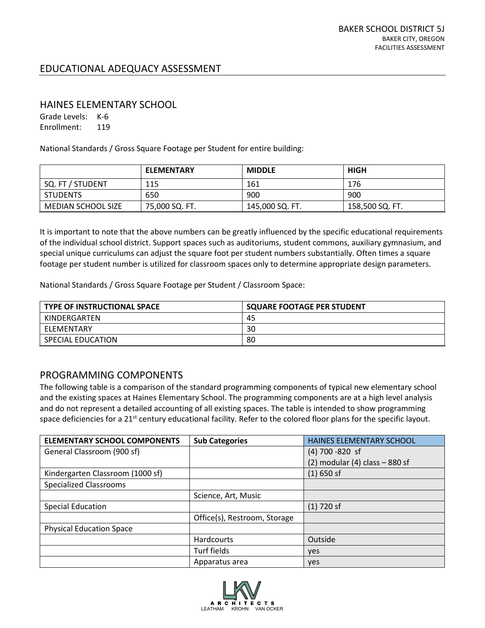#### HAINES ELEMENTARY SCHOOL

Grade Levels: K-6 Enrollment: 119

National Standards / Gross Square Footage per Student for entire building:

|                    | <b>ELEMENTARY</b> | <b>MIDDLE</b>   | <b>HIGH</b>     |
|--------------------|-------------------|-----------------|-----------------|
| SQ. FT / STUDENT   | 115               | 161             | 176             |
| <b>STUDENTS</b>    | 650               | 900             | 900             |
| MEDIAN SCHOOL SIZE | 75,000 SQ. FT.    | 145,000 SQ. FT. | 158,500 SQ. FT. |

It is important to note that the above numbers can be greatly influenced by the specific educational requirements of the individual school district. Support spaces such as auditoriums, student commons, auxiliary gymnasium, and special unique curriculums can adjust the square foot per student numbers substantially. Often times a square footage per student number is utilized for classroom spaces only to determine appropriate design parameters.

National Standards / Gross Square Footage per Student / Classroom Space:

| <b>TYPE OF INSTRUCTIONAL SPACE</b> | <b>SQUARE FOOTAGE PER STUDENT</b> |
|------------------------------------|-----------------------------------|
| KINDERGARTEN                       | 45                                |
| ELEMENTARY                         | 30                                |
| <b>SPECIAL EDUCATION</b>           | 80                                |

# PROGRAMMING COMPONENTS

The following table is a comparison of the standard programming components of typical new elementary school and the existing spaces at Haines Elementary School. The programming components are at a high level analysis and do not represent a detailed accounting of all existing spaces. The table is intended to show programming space deficiencies for a 21<sup>st</sup> century educational facility. Refer to the colored floor plans for the specific layout.

| <b>ELEMENTARY SCHOOL COMPONENTS</b> | <b>Sub Categories</b>        | HAINES ELEMENTARY SCHOOL            |
|-------------------------------------|------------------------------|-------------------------------------|
| General Classroom (900 sf)          |                              | $(4)$ 700 -820 sf                   |
|                                     |                              | $(2)$ modular $(4)$ class $-880$ sf |
| Kindergarten Classroom (1000 sf)    |                              | $(1)$ 650 sf                        |
| <b>Specialized Classrooms</b>       |                              |                                     |
|                                     | Science, Art, Music          |                                     |
| <b>Special Education</b>            |                              | $(1)$ 720 sf                        |
|                                     | Office(s), Restroom, Storage |                                     |
| <b>Physical Education Space</b>     |                              |                                     |
|                                     | Hardcourts                   | Outside                             |
|                                     | Turf fields                  | ves                                 |
|                                     | Apparatus area               | ves                                 |

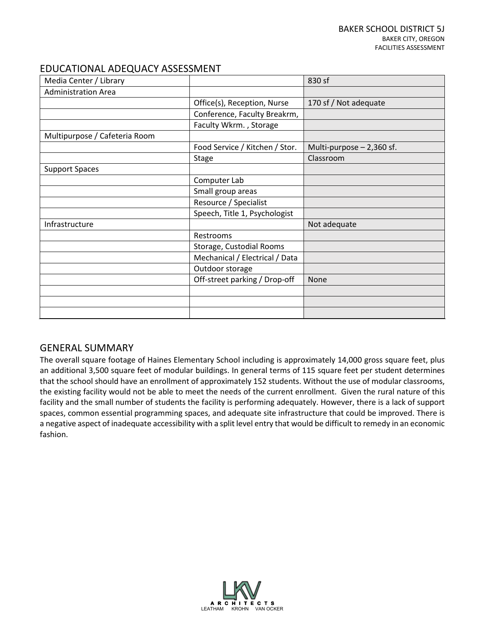| Media Center / Library        |                                | 830 sf                    |
|-------------------------------|--------------------------------|---------------------------|
| <b>Administration Area</b>    |                                |                           |
|                               | Office(s), Reception, Nurse    | 170 sf / Not adequate     |
|                               | Conference, Faculty Breakrm,   |                           |
|                               | Faculty Wkrm., Storage         |                           |
| Multipurpose / Cafeteria Room |                                |                           |
|                               | Food Service / Kitchen / Stor. | Multi-purpose - 2,360 sf. |
|                               | <b>Stage</b>                   | Classroom                 |
| <b>Support Spaces</b>         |                                |                           |
|                               | Computer Lab                   |                           |
|                               | Small group areas              |                           |
|                               | Resource / Specialist          |                           |
|                               | Speech, Title 1, Psychologist  |                           |
| Infrastructure                |                                | Not adequate              |
|                               | Restrooms                      |                           |
|                               | Storage, Custodial Rooms       |                           |
|                               | Mechanical / Electrical / Data |                           |
|                               | Outdoor storage                |                           |
|                               | Off-street parking / Drop-off  | <b>None</b>               |
|                               |                                |                           |
|                               |                                |                           |
|                               |                                |                           |

# GENERAL SUMMARY

The overall square footage of Haines Elementary School including is approximately 14,000 gross square feet, plus an additional 3,500 square feet of modular buildings. In general terms of 115 square feet per student determines that the school should have an enrollment of approximately 152 students. Without the use of modular classrooms, the existing facility would not be able to meet the needs of the current enrollment. Given the rural nature of this facility and the small number of students the facility is performing adequately. However, there is a lack of support spaces, common essential programming spaces, and adequate site infrastructure that could be improved. There is a negative aspect of inadequate accessibility with a split level entry that would be difficult to remedy in an economic fashion.

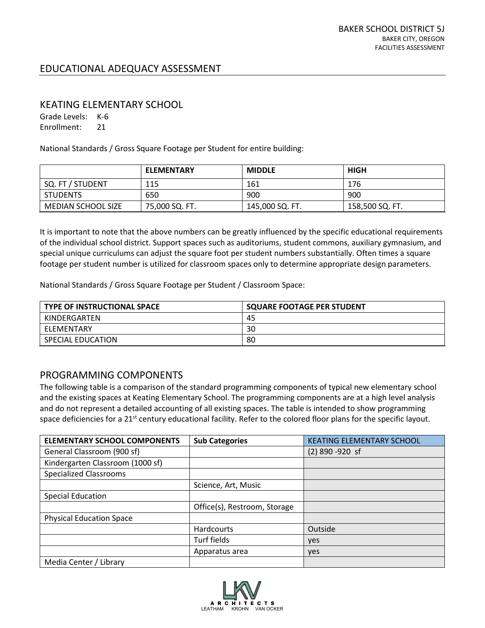#### KEATING ELEMENTARY SCHOOL

Grade Levels: K-6 Enrollment: 21

National Standards / Gross Square Footage per Student for entire building:

|                           | <b>ELEMENTARY</b> | <b>MIDDLE</b>   | <b>HIGH</b>     |
|---------------------------|-------------------|-----------------|-----------------|
| SQ. FT / STUDENT          | 115               | 161             | 176             |
| <b>STUDENTS</b>           | 650               | 900             | 900             |
| <b>MEDIAN SCHOOL SIZE</b> | 75,000 SQ. FT.    | 145,000 SQ. FT. | 158,500 SQ. FT. |

It is important to note that the above numbers can be greatly influenced by the specific educational requirements of the individual school district. Support spaces such as auditoriums, student commons, auxiliary gymnasium, and special unique curriculums can adjust the square foot per student numbers substantially. Often times a square footage per student number is utilized for classroom spaces only to determine appropriate design parameters.

National Standards / Gross Square Footage per Student / Classroom Space:

| <b>TYPE OF INSTRUCTIONAL SPACE</b> | <b>SQUARE FOOTAGE PER STUDENT</b> |
|------------------------------------|-----------------------------------|
| KINDERGARTEN                       | -45                               |
| ELEMENTARY                         | 30                                |
| SPECIAL EDUCATION                  | 80                                |

# PROGRAMMING COMPONENTS

The following table is a comparison of the standard programming components of typical new elementary school and the existing spaces at Keating Elementary School. The programming components are at a high level analysis and do not represent a detailed accounting of all existing spaces. The table is intended to show programming space deficiencies for a 21<sup>st</sup> century educational facility. Refer to the colored floor plans for the specific layout.

| <b>ELEMENTARY SCHOOL COMPONENTS</b> | <b>Sub Categories</b>        | <b>KEATING ELEMENTARY SCHOOL</b> |
|-------------------------------------|------------------------------|----------------------------------|
| General Classroom (900 sf)          |                              | $(2)$ 890 -920 sf                |
| Kindergarten Classroom (1000 sf)    |                              |                                  |
| <b>Specialized Classrooms</b>       |                              |                                  |
|                                     | Science, Art, Music          |                                  |
| <b>Special Education</b>            |                              |                                  |
|                                     | Office(s), Restroom, Storage |                                  |
| <b>Physical Education Space</b>     |                              |                                  |
|                                     | Hardcourts                   | Outside                          |
|                                     | Turf fields                  | yes                              |
|                                     | Apparatus area               | yes                              |
| Media Center / Library              |                              |                                  |